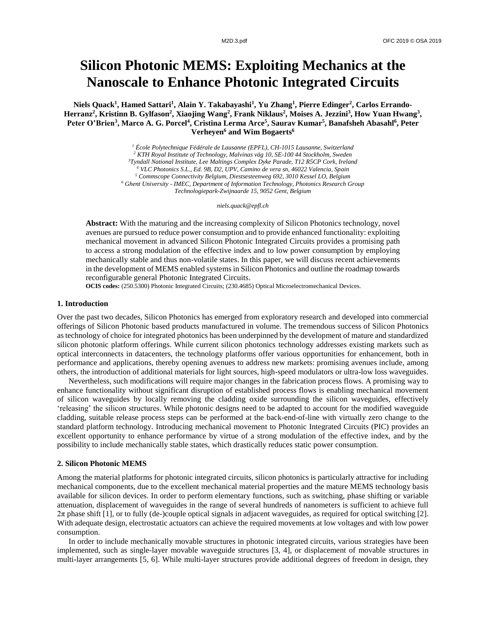# **Silicon Photonic MEMS: Exploiting Mechanics at the Nanoscale to Enhance Photonic Integrated Circuits**

**Niels Quack<sup>1</sup> , Hamed Sattari<sup>1</sup> , Alain Y. Takabayashi<sup>1</sup> , Yu Zhang<sup>1</sup> , Pierre Edinger<sup>2</sup> , Carlos Errando-Herranz<sup>2</sup> , Kristinn B. Gylfason<sup>2</sup> , Xiaojing Wang<sup>2</sup> , Frank Niklaus<sup>2</sup> , Moises A. Jezzini<sup>3</sup> , How Yuan Hwang<sup>3</sup> , Peter O'Brien<sup>3</sup> , Marco A. G. Porcel<sup>4</sup> , Cristina Lerma Arce<sup>5</sup> , Saurav Kumar<sup>5</sup> , Banafsheh Abasahl<sup>6</sup> , Peter Verheyen<sup>6</sup> and Wim Bogaerts<sup>6</sup>**

> *École Polytechnique Fédérale de Lausanne (EPFL), CH-1015 Lausanne, Switzerland KTH Royal Institute of Technology, Malvinas väg 10, SE-100 44 Stockholm, Sweden Tyndall National Institute, Lee Maltings Complex Dyke Parade, T12 R5CP Cork, Ireland VLC Photonics S.L., Ed. 9B, D2, UPV, Camino de vera sn, 46022 Valencia, Spain Commscope Connectivity Belgium, Diestsesteenweg 692, 3010 Kessel LO, Belgium Ghent University - IMEC, Department of Information Technology, Photonics Research Group Technologiepark-Zwijnaarde 15, 9052 Gent, Belgium*

> > *niels.quack@epfl.ch*

**Abstract:** With the maturing and the increasing complexity of Silicon Photonics technology, novel avenues are pursued to reduce power consumption and to provide enhanced functionality: exploiting mechanical movement in advanced Silicon Photonic Integrated Circuits provides a promising path to access a strong modulation of the effective index and to low power consumption by employing mechanically stable and thus non-volatile states. In this paper, we will discuss recent achievements in the development of MEMS enabled systems in Silicon Photonics and outline the roadmap towards reconfigurable general Photonic Integrated Circuits.

**OCIS codes:** (250.5300) Photonic Integrated Circuits; (230.4685) Optical Microelectromechanical Devices.

### **1. Introduction**

Over the past two decades, Silicon Photonics has emerged from exploratory research and developed into commercial offerings of Silicon Photonic based products manufactured in volume. The tremendous success of Silicon Photonics as technology of choice for integrated photonics has been underpinned by the development of mature and standardized silicon photonic platform offerings. While current silicon photonics technology addresses existing markets such as optical interconnects in datacenters, the technology platforms offer various opportunities for enhancement, both in performance and applications, thereby opening avenues to address new markets: promising avenues include, among others, the introduction of additional materials for light sources, high-speed modulators or ultra-low loss waveguides.

Nevertheless, such modifications will require major changes in the fabrication process flows. A promising way to enhance functionality without significant disruption of established process flows is enabling mechanical movement of silicon waveguides by locally removing the cladding oxide surrounding the silicon waveguides, effectively 'releasing' the silicon structures. While photonic designs need to be adapted to account for the modified waveguide cladding, suitable release process steps can be performed at the back-end-of-line with virtually zero change to the standard platform technology. Introducing mechanical movement to Photonic Integrated Circuits (PIC) provides an excellent opportunity to enhance performance by virtue of a strong modulation of the effective index, and by the possibility to include mechanically stable states, which drastically reduces static power consumption.

#### **2. Silicon Photonic MEMS**

Among the material platforms for photonic integrated circuits, silicon photonics is particularly attractive for including mechanical components, due to the excellent mechanical material properties and the mature MEMS technology basis available for silicon devices. In order to perform elementary functions, such as switching, phase shifting or variable attenuation, displacement of waveguides in the range of several hundreds of nanometers is sufficient to achieve full 2π phase shift [1], or to fully (de-)couple optical signals in adjacent waveguides, as required for optical switching [2]. With adequate design, electrostatic actuators can achieve the required movements at low voltages and with low power consumption.

In order to include mechanically movable structures in photonic integrated circuits, various strategies have been implemented, such as single-layer movable waveguide structures [3, 4], or displacement of movable structures in multi-layer arrangements [5, 6]. While multi-layer structures provide additional degrees of freedom in design, they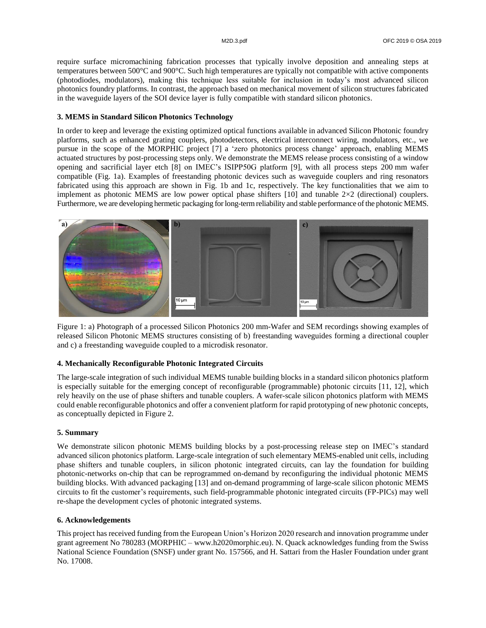require surface micromachining fabrication processes that typically involve deposition and annealing steps at temperatures between 500°C and 900°C. Such high temperatures are typically not compatible with active components (photodiodes, modulators), making this technique less suitable for inclusion in today's most advanced silicon photonics foundry platforms. In contrast, the approach based on mechanical movement of silicon structures fabricated in the waveguide layers of the SOI device layer is fully compatible with standard silicon photonics.

## **3. MEMS in Standard Silicon Photonics Technology**

In order to keep and leverage the existing optimized optical functions available in advanced Silicon Photonic foundry platforms, such as enhanced grating couplers, photodetectors, electrical interconnect wiring, modulators, etc., we pursue in the scope of the MORPHIC project [7] a 'zero photonics process change' approach, enabling MEMS actuated structures by post-processing steps only. We demonstrate the MEMS release process consisting of a window opening and sacrificial layer etch [8] on IMEC's ISIPP50G platform [9], with all process steps 200 mm wafer compatible (Fig. 1a). Examples of freestanding photonic devices such as waveguide couplers and ring resonators fabricated using this approach are shown in Fig. 1b and 1c, respectively. The key functionalities that we aim to implement as photonic MEMS are low power optical phase shifters  $[10]$  and tunable  $2\times2$  (directional) couplers. Furthermore, we are developing hermetic packaging for long-termreliability and stable performance of the photonic MEMS.



Figure 1: a) Photograph of a processed Silicon Photonics 200 mm-Wafer and SEM recordings showing examples of released Silicon Photonic MEMS structures consisting of b) freestanding waveguides forming a directional coupler and c) a freestanding waveguide coupled to a microdisk resonator.

#### **4. Mechanically Reconfigurable Photonic Integrated Circuits**

The large-scale integration of such individual MEMS tunable building blocks in a standard silicon photonics platform is especially suitable for the emerging concept of reconfigurable (programmable) photonic circuits [11, 12], which rely heavily on the use of phase shifters and tunable couplers. A wafer-scale silicon photonics platform with MEMS could enable reconfigurable photonics and offer a convenient platform for rapid prototyping of new photonic concepts, as conceptually depicted in Figure 2.

### **5. Summary**

We demonstrate silicon photonic MEMS building blocks by a post-processing release step on IMEC's standard advanced silicon photonics platform. Large-scale integration of such elementary MEMS-enabled unit cells, including phase shifters and tunable couplers, in silicon photonic integrated circuits, can lay the foundation for building photonic-networks on-chip that can be reprogrammed on-demand by reconfiguring the individual photonic MEMS building blocks. With advanced packaging [13] and on-demand programming of large-scale silicon photonic MEMS circuits to fit the customer's requirements, such field-programmable photonic integrated circuits (FP-PICs) may well re-shape the development cycles of photonic integrated systems.

#### **6. Acknowledgements**

This project has received funding from the European Union's Horizon 2020 research and innovation programme under grant agreement No 780283 (MORPHIC – www.h2020morphic.eu). N. Quack acknowledges funding from the Swiss National Science Foundation (SNSF) under grant No. 157566, and H. Sattari from the Hasler Foundation under grant No. 17008.